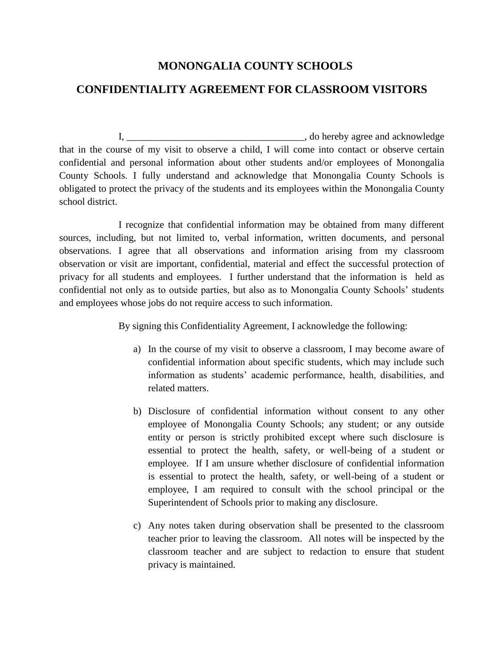## **MONONGALIA COUNTY SCHOOLS CONFIDENTIALITY AGREEMENT FOR CLASSROOM VISITORS**

I, \_\_\_\_\_\_\_\_\_\_\_\_\_\_\_\_\_\_\_\_\_\_\_\_\_\_\_\_\_\_\_\_\_\_\_\_, do hereby agree and acknowledge that in the course of my visit to observe a child, I will come into contact or observe certain confidential and personal information about other students and/or employees of Monongalia County Schools. I fully understand and acknowledge that Monongalia County Schools is obligated to protect the privacy of the students and its employees within the Monongalia County school district.

I recognize that confidential information may be obtained from many different sources, including, but not limited to, verbal information, written documents, and personal observations. I agree that all observations and information arising from my classroom observation or visit are important, confidential, material and effect the successful protection of privacy for all students and employees. I further understand that the information is held as confidential not only as to outside parties, but also as to Monongalia County Schools' students and employees whose jobs do not require access to such information.

By signing this Confidentiality Agreement, I acknowledge the following:

- a) In the course of my visit to observe a classroom, I may become aware of confidential information about specific students, which may include such information as students' academic performance, health, disabilities, and related matters.
- b) Disclosure of confidential information without consent to any other employee of Monongalia County Schools; any student; or any outside entity or person is strictly prohibited except where such disclosure is essential to protect the health, safety, or well-being of a student or employee. If I am unsure whether disclosure of confidential information is essential to protect the health, safety, or well-being of a student or employee, I am required to consult with the school principal or the Superintendent of Schools prior to making any disclosure.
- c) Any notes taken during observation shall be presented to the classroom teacher prior to leaving the classroom. All notes will be inspected by the classroom teacher and are subject to redaction to ensure that student privacy is maintained.